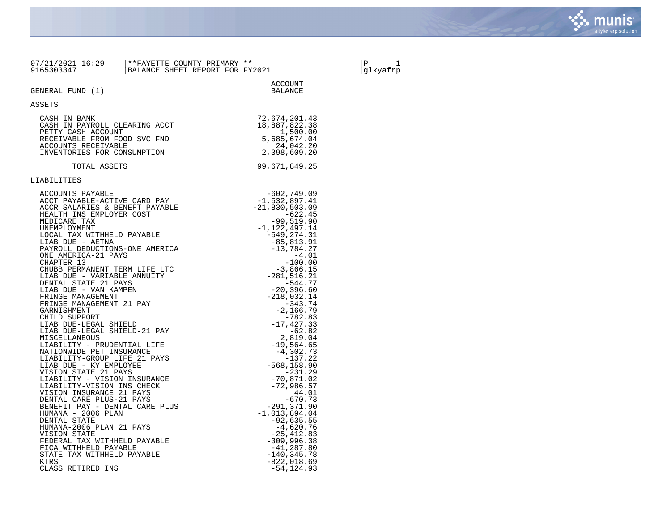

| 07/21/2021 16:29<br>9165303347                                                                                                                                                                                                                                                                                                                                                                                                                                                                                                                                                                                                                                                                                                                                                                                                                                                                                                                                                                                                    | **FAYETTE COUNTY PRIMARY **<br>BALANCE SHEET REPORT FOR FY2021 |                                                                                                                                                                                                                                                                                                                                                                                                                                                                                                                                                                                                                     | P<br>1<br> glkyafrp |
|-----------------------------------------------------------------------------------------------------------------------------------------------------------------------------------------------------------------------------------------------------------------------------------------------------------------------------------------------------------------------------------------------------------------------------------------------------------------------------------------------------------------------------------------------------------------------------------------------------------------------------------------------------------------------------------------------------------------------------------------------------------------------------------------------------------------------------------------------------------------------------------------------------------------------------------------------------------------------------------------------------------------------------------|----------------------------------------------------------------|---------------------------------------------------------------------------------------------------------------------------------------------------------------------------------------------------------------------------------------------------------------------------------------------------------------------------------------------------------------------------------------------------------------------------------------------------------------------------------------------------------------------------------------------------------------------------------------------------------------------|---------------------|
| GENERAL FUND (1)                                                                                                                                                                                                                                                                                                                                                                                                                                                                                                                                                                                                                                                                                                                                                                                                                                                                                                                                                                                                                  |                                                                | ACCOUNT<br>BALANCE                                                                                                                                                                                                                                                                                                                                                                                                                                                                                                                                                                                                  |                     |
| ASSETS                                                                                                                                                                                                                                                                                                                                                                                                                                                                                                                                                                                                                                                                                                                                                                                                                                                                                                                                                                                                                            |                                                                |                                                                                                                                                                                                                                                                                                                                                                                                                                                                                                                                                                                                                     |                     |
| CASH IN BANK<br>CASH IN PAYROLL CLEARING ACCT<br>PETTY CASH ACCOUNT<br>RECEIVABLE FROM FOOD SVC FND<br>ACCOUNTS RECEIVABLE<br>INVENTORIES FOR CONSUMPTION                                                                                                                                                                                                                                                                                                                                                                                                                                                                                                                                                                                                                                                                                                                                                                                                                                                                         |                                                                | 72,674,201.43<br>18,887,822.38<br>1,500.00<br>5,685,674.04<br>24,042.20<br>2,398,609.20                                                                                                                                                                                                                                                                                                                                                                                                                                                                                                                             |                     |
| TOTAL ASSETS                                                                                                                                                                                                                                                                                                                                                                                                                                                                                                                                                                                                                                                                                                                                                                                                                                                                                                                                                                                                                      |                                                                | 99,671,849.25                                                                                                                                                                                                                                                                                                                                                                                                                                                                                                                                                                                                       |                     |
| LIABILITIES                                                                                                                                                                                                                                                                                                                                                                                                                                                                                                                                                                                                                                                                                                                                                                                                                                                                                                                                                                                                                       |                                                                |                                                                                                                                                                                                                                                                                                                                                                                                                                                                                                                                                                                                                     |                     |
| ACCOUNTS PAYABLE<br>ACCT PAYABLE-ACTIVE CARD PAY<br>ACCR SALARIES & BENEFT PAYABLE<br>HEALTH INS EMPLOYER COST<br>MEDICARE TAX<br>UNEMPLOYMENT<br>LOCAL TAX WITHHELD PAYABLE<br>LIAB DUE - AETNA<br>PAYROLL DEDUCTIONS-ONE AMERICA<br>ONE AMERICA-21 PAYS<br>CHAPTER 13<br>CHUBB PERMANENT TERM LIFE LTC<br>LIAB DUE - VARIABLE ANNUITY<br>DENTAL STATE 21 PAYS<br>LIAB DUE - VAN KAMPEN<br>FRINGE MANAGEMENT<br>FRINGE MANAGEMENT 21 PAY<br>GARNISHMENT<br>CHILD SUPPORT<br>LIAB DUE-LEGAL SHIELD<br>LIAB DUE-LEGAL SHIELD-21 PAY<br>MISCELLANEOUS<br>LIABILITY - PRUDENTIAL LIFE<br>NATIONWIDE PET INSURANCE<br>LIABILITY-GROUP LIFE 21 PAYS<br>LIAB DUE - KY EMPLOYEE<br>VISION STATE 21 PAYS<br>LIABILITY - VISION INSURANCE<br>LIABILITY-VISION INS CHECK<br>VISION INSURANCE 21 PAYS<br>DENTAL CARE PLUS-21 PAYS<br>BENEFIT PAY - DENTAL CARE PLUS<br>HUMANA - 2006 PLAN<br>DENTAL STATE<br>HUMANA-2006 PLAN 21 PAYS<br>VISION STATE<br>FEDERAL TAX WITHHELD PAYABLE<br>FICA WITHHELD PAYABLE<br>STATE TAX WITHHELD PAYABLE |                                                                | $-602,749.09$<br>$-1,532,897.41$<br>$-21,830,503.09$<br>-622.45<br>$-99,519.90$<br>$-1, 122, 497.14$<br>$-549, 274.31$<br>-85,813.91<br>$-13,784.27$<br>$-4.01$<br>$-100.00$<br>$-3,866.15$<br>$-281, 516.21$<br>$-544.77$<br>$-20, 396.60$<br>$-218,032.14$<br>$-343.74$<br>$-2, 166.79$<br>$-782.83$<br>$-17,427.33$<br>$-62.82$<br>2,819.04<br>$-19,564.65$<br>$-4,302.73$<br>$-137.22$<br>$-568, 158.90$<br>$-231.29$<br>$-70,871.02$<br>$-72,986.57$<br>44.01<br>$-670.73$<br>-291,371.90<br>$-1,013,894.04$<br>$-92,635.55$<br>-4,620.76<br>$-25, 412.83$<br>$-309,996.38$<br>$-41, 287.80$<br>$-140, 345.78$ |                     |
| KTRS<br>CLASS RETIRED INS                                                                                                                                                                                                                                                                                                                                                                                                                                                                                                                                                                                                                                                                                                                                                                                                                                                                                                                                                                                                         |                                                                | $-822,018.69$<br>$-54, 124.93$                                                                                                                                                                                                                                                                                                                                                                                                                                                                                                                                                                                      |                     |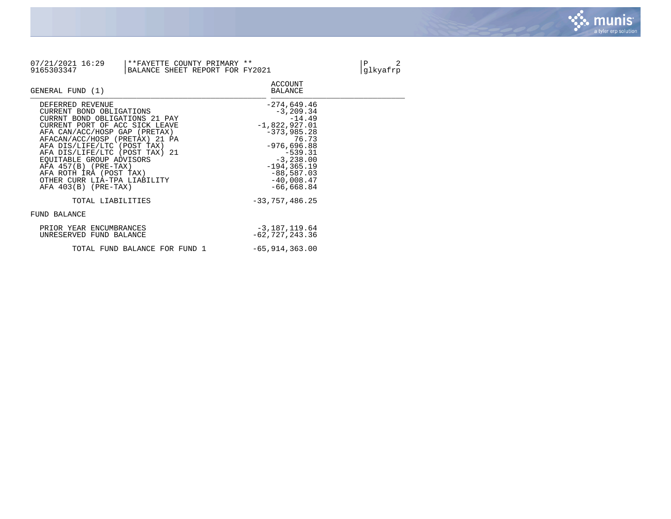

| 07/21/2021 16:29<br>9165303347                                                                                                                                                                                                                                                                                                                                                                                       | **FAYETTE COUNTY PRIMARY **<br>BALANCE SHEET REPORT FOR FY2021 |                                                                                                                                                                                                                            | Ρ<br>2<br>glkyafrp |
|----------------------------------------------------------------------------------------------------------------------------------------------------------------------------------------------------------------------------------------------------------------------------------------------------------------------------------------------------------------------------------------------------------------------|----------------------------------------------------------------|----------------------------------------------------------------------------------------------------------------------------------------------------------------------------------------------------------------------------|--------------------|
| GENERAL FUND (1)                                                                                                                                                                                                                                                                                                                                                                                                     |                                                                | <b>ACCOUNT</b><br><b>BALANCE</b>                                                                                                                                                                                           |                    |
| DEFERRED REVENUE<br>CURRENT BOND OBLIGATIONS<br>CURRNT BOND OBLIGATIONS 21 PAY<br>CURRENT PORT OF ACC SICK LEAVE<br>AFA CAN/ACC/HOSP GAP (PRETAX)<br>AFACAN/ACC/HOSP (PRETAX) 21 PA<br>AFA DIS/LIFE/LTC (POST TAX)<br>AFA DIS/LIFE/LTC (POST TAX) 21<br>EOUITABLE GROUP ADVISORS<br>$AFA 457(B) (PRE-TAX)$<br>AFA ROTH IRA (POST TAX)<br>OTHER CURR LIA-TPA LIABILITY<br>$AFA 403(B) (PRE-TAX)$<br>TOTAL LIABILITIES |                                                                | $-274,649.46$<br>$-3, 209.34$<br>$-14.49$<br>$-1,822,927.01$<br>$-373,985.28$<br>76.73<br>$-976,696.88$<br>$-539.31$<br>$-3, 238.00$<br>$-194, 365.19$<br>$-88,587.03$<br>$-40,008.47$<br>$-66,668.84$<br>$-33,757,486.25$ |                    |
| FUND BALANCE                                                                                                                                                                                                                                                                                                                                                                                                         |                                                                |                                                                                                                                                                                                                            |                    |
| PRIOR YEAR ENCUMBRANCES<br>UNRESERVED FUND BALANCE                                                                                                                                                                                                                                                                                                                                                                   |                                                                | $-3,187,119.64$<br>$-62,727,243.36$                                                                                                                                                                                        |                    |
|                                                                                                                                                                                                                                                                                                                                                                                                                      | TOTAL FUND BALANCE FOR FUND 1                                  | $-65,914,363.00$                                                                                                                                                                                                           |                    |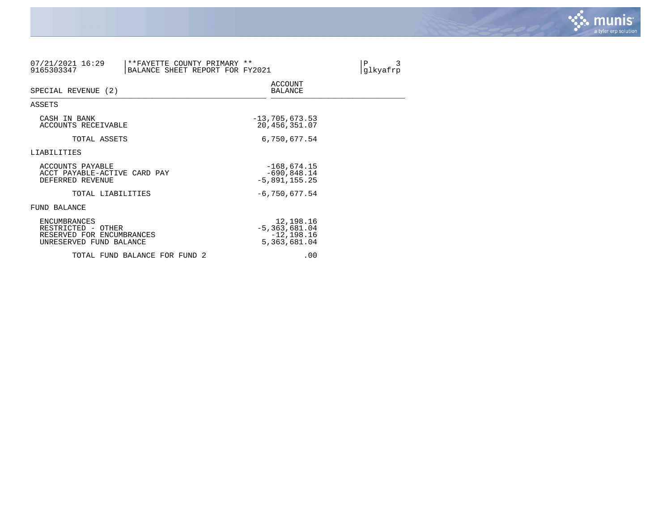

| 07/21/2021 16:29<br>9165303347                                                                    | **FAYETTE COUNTY PRIMARY **<br>BALANCE SHEET REPORT FOR FY2021 |                                                               | $\, {\bf P}$<br>3<br>glkyafrp |
|---------------------------------------------------------------------------------------------------|----------------------------------------------------------------|---------------------------------------------------------------|-------------------------------|
| SPECIAL REVENUE (2)                                                                               |                                                                | <b>ACCOUNT</b><br><b>BALANCE</b>                              |                               |
| ASSETS                                                                                            |                                                                |                                                               |                               |
| CASH IN BANK<br>ACCOUNTS RECEIVABLE                                                               |                                                                | $-13,705,673.53$<br>20, 456, 351.07                           |                               |
| TOTAL ASSETS                                                                                      |                                                                | 6,750,677.54                                                  |                               |
| LIABILITIES                                                                                       |                                                                |                                                               |                               |
| ACCOUNTS PAYABLE<br>ACCT PAYABLE-ACTIVE CARD PAY<br>DEFERRED REVENUE                              |                                                                | $-168,674.15$<br>$-690,848.14$<br>$-5,891,155.25$             |                               |
| TOTAL LIABILITIES                                                                                 |                                                                | $-6,750,677.54$                                               |                               |
| FUND BALANCE                                                                                      |                                                                |                                                               |                               |
| <b>ENCUMBRANCES</b><br>RESTRICTED - OTHER<br>RESERVED FOR ENCUMBRANCES<br>UNRESERVED FUND BALANCE |                                                                | 12,198.16<br>$-5,363,681.04$<br>$-12, 198.16$<br>5,363,681.04 |                               |
|                                                                                                   | TOTAL FUND BALANCE FOR FUND 2                                  | .00                                                           |                               |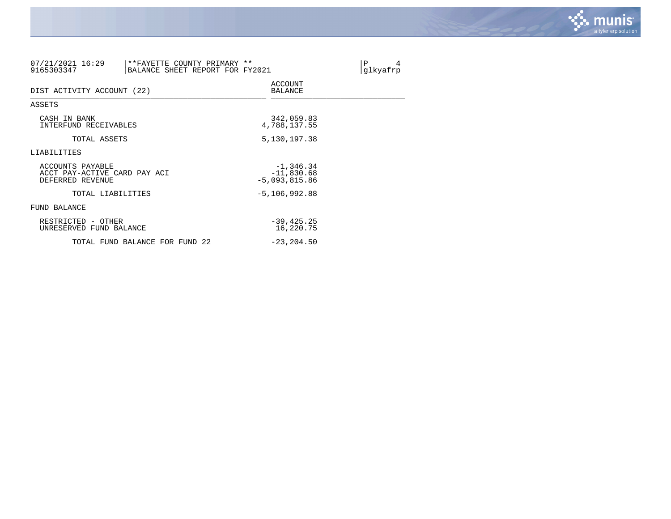

| 07/21/2021 16:29<br>**FAYETTE COUNTY PRIMARY **<br>9165303347<br>BALANCE SHEET REPORT FOR FY2021 |                                                | $\mathbf{P}$<br>4<br>glkyafrp |
|--------------------------------------------------------------------------------------------------|------------------------------------------------|-------------------------------|
| DIST ACTIVITY ACCOUNT (22)                                                                       | <b>ACCOUNT</b><br>BALANCE                      |                               |
| ASSETS                                                                                           |                                                |                               |
| CASH IN BANK<br>INTERFUND RECEIVABLES                                                            | 342,059.83<br>4,788,137.55                     |                               |
| TOTAL ASSETS                                                                                     | 5,130,197.38                                   |                               |
| LIABILITIES                                                                                      |                                                |                               |
| ACCOUNTS PAYABLE<br>ACCT PAY-ACTIVE CARD PAY ACI<br>DEFERRED REVENUE                             | $-1,346.34$<br>$-11,830.68$<br>$-5,093,815.86$ |                               |
| TOTAL LIABILITIES                                                                                | $-5, 106, 992.88$                              |                               |
| FUND BALANCE                                                                                     |                                                |                               |
| RESTRICTED - OTHER<br>UNRESERVED FUND BALANCE                                                    | $-39,425.25$<br>16,220.75                      |                               |
| TOTAL FUND BALANCE FOR FUND 22                                                                   | $-23, 204.50$                                  |                               |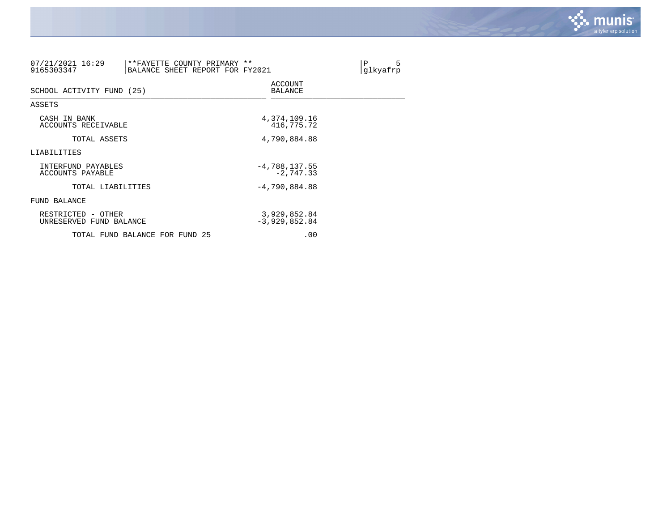

| 07/21/2021 16:29<br>**FAYETTE COUNTY PRIMARY **<br>9165303347<br>BALANCE SHEET REPORT FOR FY2021 |                                 | 5<br>$\mathbf{P}$<br>glkyafrp |
|--------------------------------------------------------------------------------------------------|---------------------------------|-------------------------------|
| SCHOOL ACTIVITY FUND (25)                                                                        | <b>ACCOUNT</b><br>BALANCE       |                               |
| ASSETS                                                                                           |                                 |                               |
| CASH IN BANK<br>ACCOUNTS RECEIVABLE                                                              | 4,374,109.16<br>416,775.72      |                               |
| TOTAL ASSETS                                                                                     | 4,790,884.88                    |                               |
| LIABILITIES                                                                                      |                                 |                               |
| INTERFUND PAYABLES<br>ACCOUNTS PAYABLE                                                           | $-4,788,137.55$<br>$-2,747.33$  |                               |
| TOTAL LIABILITIES                                                                                | $-4,790,884.88$                 |                               |
| FUND BALANCE                                                                                     |                                 |                               |
| RESTRICTED - OTHER<br>UNRESERVED FUND BALANCE                                                    | 3,929,852.84<br>$-3,929,852.84$ |                               |
| TOTAL FUND BALANCE FOR FUND 25                                                                   | .00                             |                               |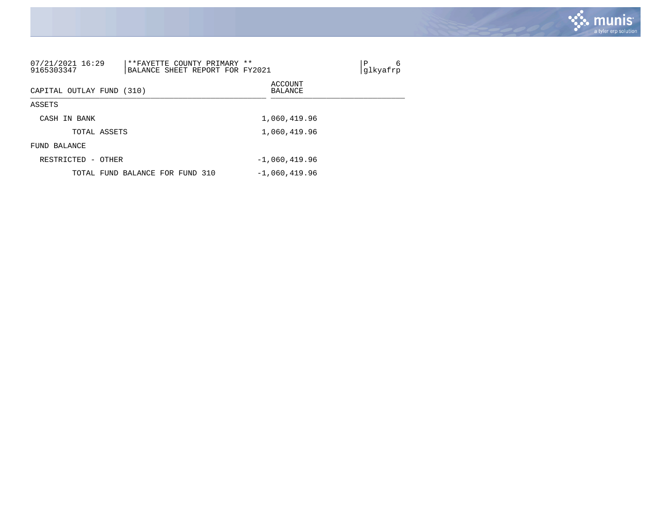

| 07/21/2021 16:29<br>9165303347 | **FAYETTE COUNTY PRIMARY<br>BALANCE SHEET REPORT FOR FY2021 | **                        | 6<br>Ρ<br>qlkyafrp |
|--------------------------------|-------------------------------------------------------------|---------------------------|--------------------|
| CAPITAL OUTLAY FUND (310)      |                                                             | ACCOUNT<br><b>BALANCE</b> |                    |
| ASSETS                         |                                                             |                           |                    |
| CASH IN BANK                   |                                                             | 1,060,419.96              |                    |
|                                | TOTAL ASSETS                                                | 1,060,419.96              |                    |
| FUND BALANCE                   |                                                             |                           |                    |
| RESTRICTED -                   | OTHER                                                       | $-1,060,419.96$           |                    |
|                                | TOTAL FUND BALANCE FOR FUND 310                             | $-1,060,419.96$           |                    |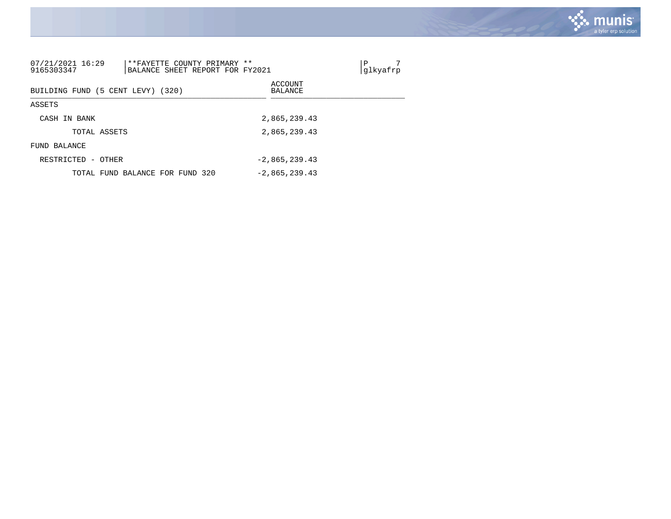

| 07/21/2021 16:29<br>9165303347         | **FAYETTE COUNTY PRIMARY **<br>BALANCE SHEET REPORT FOR FY2021 |  |                    | Ρ<br>glkyafrp |
|----------------------------------------|----------------------------------------------------------------|--|--------------------|---------------|
|                                        | BUILDING FUND (5 CENT LEVY) (320)                              |  | ACCOUNT<br>BALANCE |               |
| ASSETS                                 |                                                                |  |                    |               |
| CASH IN BANK                           |                                                                |  | 2,865,239.43       |               |
|                                        | TOTAL ASSETS                                                   |  | 2,865,239.43       |               |
| BALANCE<br>FUND                        |                                                                |  |                    |               |
| RESTRICTED<br>$\overline{\phantom{a}}$ | OTHER                                                          |  | $-2.865.239.43$    |               |
|                                        | TOTAL FUND BALANCE FOR FUND 320                                |  | $-2,865,239.43$    |               |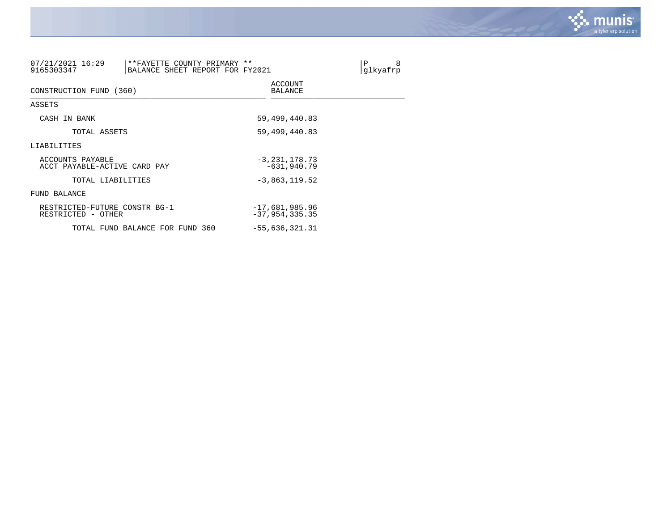

| 07/21/2021 16:29<br>9165303347                      | **FAYETTE COUNTY PRIMARY **<br>BALANCE SHEET REPORT FOR FY2021 |                                        | 8<br>Ρ<br>glkyafrp |
|-----------------------------------------------------|----------------------------------------------------------------|----------------------------------------|--------------------|
| CONSTRUCTION FUND (360)                             |                                                                | <b>ACCOUNT</b><br>BALANCE              |                    |
| ASSETS                                              |                                                                |                                        |                    |
| CASH IN BANK                                        |                                                                | 59,499,440.83                          |                    |
| TOTAL ASSETS                                        |                                                                | 59, 499, 440.83                        |                    |
| LIABILITIES                                         |                                                                |                                        |                    |
| ACCOUNTS PAYABLE<br>ACCT PAYABLE-ACTIVE CARD PAY    |                                                                | $-3,231,178.73$<br>$-631,940.79$       |                    |
| TOTAL LIABILITIES                                   |                                                                | $-3,863,119.52$                        |                    |
| FUND BALANCE                                        |                                                                |                                        |                    |
| RESTRICTED-FUTURE CONSTR BG-1<br>RESTRICTED - OTHER |                                                                | $-17,681,985.96$<br>$-37, 954, 335.35$ |                    |
|                                                     | TOTAL FUND BALANCE FOR FUND 360                                | $-55,636,321.31$                       |                    |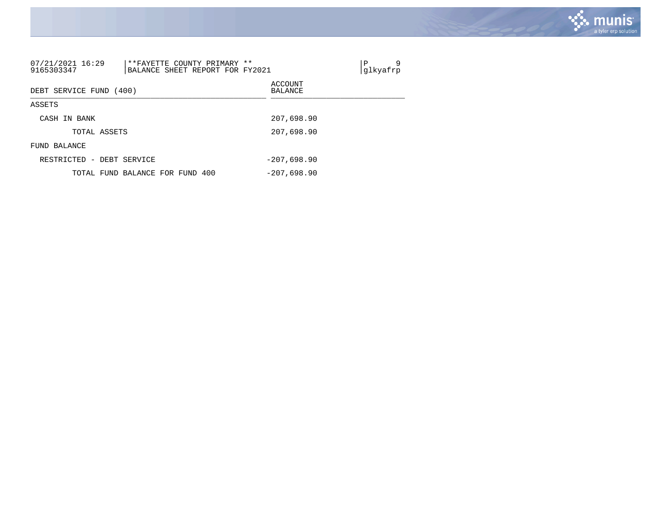

| 07/21/2021 16:29<br>9165303347 | **FAYETTE COUNTY PRIMARY **<br>BALANCE SHEET REPORT FOR FY2021 | 9<br>Ρ<br>glkyafrp |
|--------------------------------|----------------------------------------------------------------|--------------------|
| DEBT SERVICE FUND              | (400)                                                          | ACCOUNT<br>BALANCE |
| ASSETS                         |                                                                |                    |
| CASH IN BANK                   |                                                                | 207,698.90         |
| TOTAL ASSETS                   |                                                                | 207,698.90         |
| FUND BALANCE                   |                                                                |                    |
| RESTRICTED - DEBT SERVICE      |                                                                | $-207.698.90$      |
|                                | TOTAL FUND BALANCE FOR FUND 400                                | $-207.698.90$      |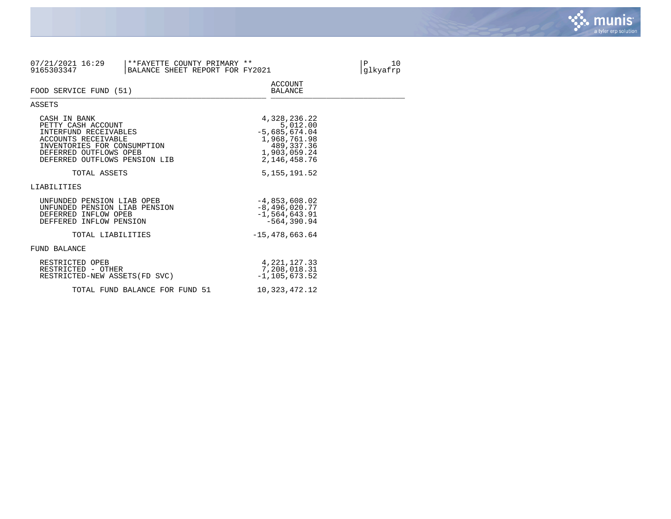

| 07/21/2021 16:29<br>**FAYETTE COUNTY PRIMARY **<br>9165303347<br>BALANCE SHEET REPORT FOR FY2021                                                                             |                                                                                                              | $\mathbf P$<br>10<br>glkyafrp |
|------------------------------------------------------------------------------------------------------------------------------------------------------------------------------|--------------------------------------------------------------------------------------------------------------|-------------------------------|
| FOOD SERVICE FUND (51)                                                                                                                                                       | ACCOUNT<br><b>BALANCE</b>                                                                                    |                               |
| ASSETS                                                                                                                                                                       |                                                                                                              |                               |
| CASH IN BANK<br>PETTY CASH ACCOUNT<br>INTERFUND RECEIVABLES<br>ACCOUNTS RECEIVABLE<br>INVENTORIES FOR CONSUMPTION<br>DEFERRED OUTFLOWS OPEB<br>DEFERRED OUTFLOWS PENSION LIB | 4,328,236.22<br>5,012.00<br>$-5,685,674.04$<br>1,968,761.98<br>489,337.36<br>1,903,059.24<br>2, 146, 458. 76 |                               |
| TOTAL ASSETS                                                                                                                                                                 | 5, 155, 191.52                                                                                               |                               |
| LIABILITIES                                                                                                                                                                  |                                                                                                              |                               |
| UNFUNDED PENSION LIAB OPEB<br>UNFUNDED PENSION LIAB PENSION<br>DEFERRED INFLOW OPEB<br>DEFFERED INFLOW PENSION                                                               | $-4,853,608.02$<br>$-8,496,020.77$<br>$-1.564.643.91$<br>$-564.390.94$                                       |                               |
| TOTAL LIABILITIES                                                                                                                                                            | $-15,478,663.64$                                                                                             |                               |
| FUND BALANCE                                                                                                                                                                 |                                                                                                              |                               |
| RESTRICTED OPEB<br>RESTRICTED - OTHER<br>RESTRICTED-NEW ASSETS (FD SVC)                                                                                                      | 4, 221, 127.33<br>7,208,018.31<br>$-1, 105, 673, 52$                                                         |                               |
| TOTAL FUND BALANCE FOR FUND 51                                                                                                                                               | 10,323,472.12                                                                                                |                               |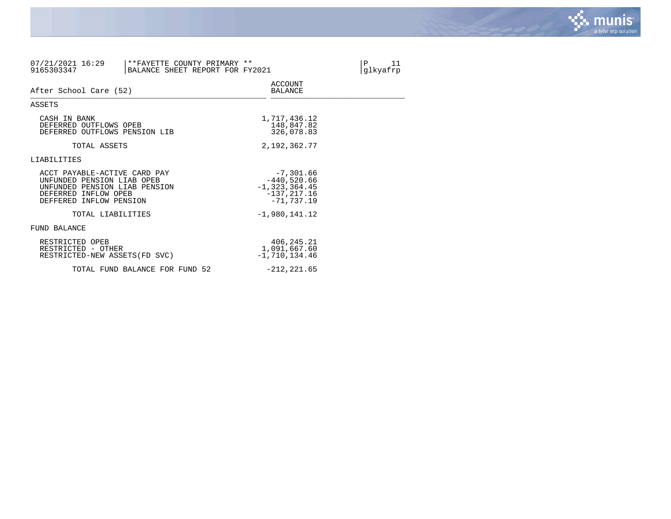

| 07/21/2021 16:29<br>9165303347                                                                                                                 | **FAYETTE COUNTY PRIMARY **<br>BALANCE SHEET REPORT FOR FY2021 |                                                                                      | P<br>11<br>glkyafrp |
|------------------------------------------------------------------------------------------------------------------------------------------------|----------------------------------------------------------------|--------------------------------------------------------------------------------------|---------------------|
| After School Care (52)                                                                                                                         |                                                                | <b>ACCOUNT</b><br><b>BALANCE</b>                                                     |                     |
| ASSETS                                                                                                                                         |                                                                |                                                                                      |                     |
| CASH IN BANK<br>DEFERRED OUTFLOWS OPEB<br>DEFERRED OUTFLOWS PENSION LIB                                                                        |                                                                | 1,717,436.12<br>148,847.82<br>326,078.83                                             |                     |
| TOTAL ASSETS                                                                                                                                   |                                                                | 2,192,362.77                                                                         |                     |
| LIABILITIES                                                                                                                                    |                                                                |                                                                                      |                     |
| ACCT PAYABLE-ACTIVE CARD PAY<br>UNFUNDED PENSION LIAB OPEB<br>UNFUNDED PENSION LIAB PENSION<br>DEFERRED INFLOW OPEB<br>DEFFERED INFLOW PENSION |                                                                | $-7,301.66$<br>$-440,520.66$<br>$-1, 323, 364.45$<br>$-137, 217.16$<br>$-71, 737.19$ |                     |
| TOTAL LIABILITIES                                                                                                                              |                                                                | $-1,980,141.12$                                                                      |                     |
| FUND BALANCE                                                                                                                                   |                                                                |                                                                                      |                     |
| RESTRICTED OPEB<br>RESTRICTED - OTHER<br>RESTRICTED-NEW ASSETS (FD SVC)                                                                        |                                                                | 406,245.21<br>1,091,667.60<br>$-1,710,134.46$                                        |                     |
|                                                                                                                                                | TOTAL FUND BALANCE FOR FUND 52                                 | $-212, 221.65$                                                                       |                     |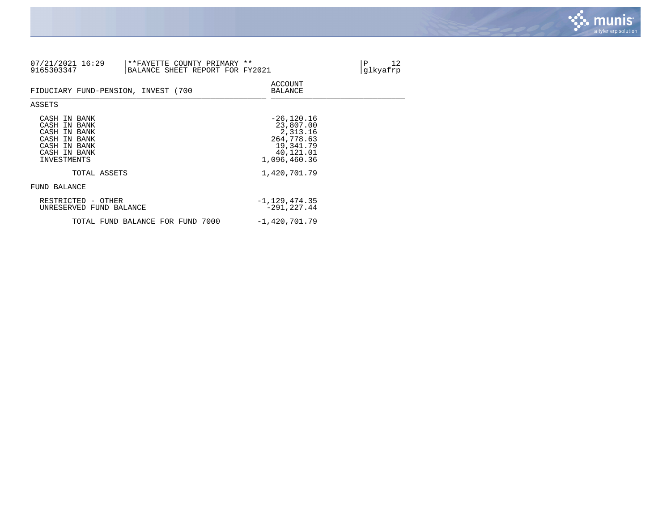

| 07/21/2021 16:29<br>9165303347                                                                              | **FAYETTE COUNTY PRIMARY **<br>BALANCE SHEET REPORT FOR FY2021 |                                                                                                | 12<br>Ρ<br>glkyafrp |
|-------------------------------------------------------------------------------------------------------------|----------------------------------------------------------------|------------------------------------------------------------------------------------------------|---------------------|
| FIDUCIARY FUND-PENSION, INVEST (700                                                                         |                                                                | ACCOUNT<br>BALANCE                                                                             |                     |
| ASSETS                                                                                                      |                                                                |                                                                                                |                     |
| CASH IN BANK<br>CASH IN BANK<br>CASH IN BANK<br>CASH IN BANK<br>CASH IN BANK<br>CASH IN BANK<br>INVESTMENTS |                                                                | $-26, 120.16$<br>23,807.00<br>2,313.16<br>264,778.63<br>19,341.79<br>40,121.01<br>1,096,460.36 |                     |
| TOTAL ASSETS                                                                                                |                                                                | 1,420,701.79                                                                                   |                     |
| FUND BALANCE                                                                                                |                                                                |                                                                                                |                     |
| RESTRICTED - OTHER<br>UNRESERVED FUND BALANCE                                                               |                                                                | $-1, 129, 474.35$<br>$-291, 227.44$                                                            |                     |
|                                                                                                             | TOTAL FUND BALANCE FOR FUND 7000                               | $-1,420,701.79$                                                                                |                     |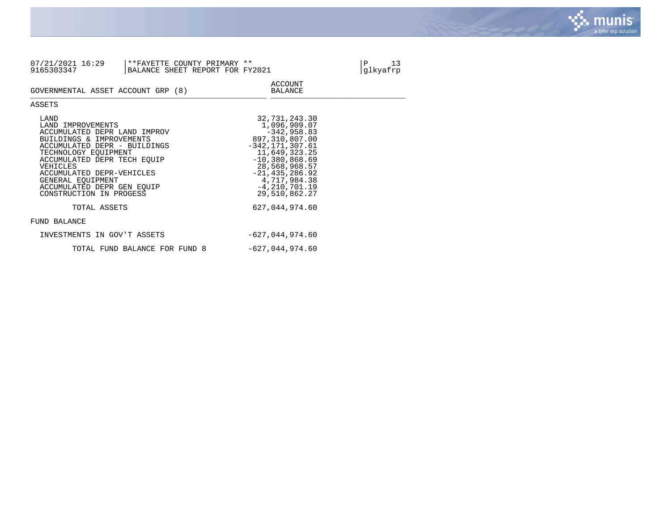

| 07/21/2021 16:29<br>9165303347                                                                                                                                                                                                                                                                      | **FAYETTE COUNTY PRIMARY **<br>BALANCE SHEET REPORT FOR FY2021 |                                                                                                                                                                                                                           | 13<br>Ρ<br>glkyafrp |
|-----------------------------------------------------------------------------------------------------------------------------------------------------------------------------------------------------------------------------------------------------------------------------------------------------|----------------------------------------------------------------|---------------------------------------------------------------------------------------------------------------------------------------------------------------------------------------------------------------------------|---------------------|
| GOVERNMENTAL ASSET ACCOUNT GRP (8)                                                                                                                                                                                                                                                                  |                                                                | <b>ACCOUNT</b><br><b>BALANCE</b>                                                                                                                                                                                          |                     |
| ASSETS                                                                                                                                                                                                                                                                                              |                                                                |                                                                                                                                                                                                                           |                     |
| LAND<br>LAND IMPROVEMENTS<br>ACCUMULATED DEPR LAND IMPROV<br>BUILDINGS & IMPROVEMENTS<br>ACCUMULATED DEPR - BUILDINGS<br>TECHNOLOGY EOUIPMENT<br>ACCUMULATED DEPR TECH EOUIP<br>VEHICLES<br>ACCUMULATED DEPR-VEHICLES<br>GENERAL EOUIPMENT<br>ACCUMULATED DEPR GEN EOUIP<br>CONSTRUCTION IN PROGESS |                                                                | 32,731,243.30<br>1,096,909.07<br>$-342,958.83$<br>897,310,807.00<br>$-342, 171, 307.61$<br>11,649,323.25<br>$-10,380,868.69$<br>28,568,968.57<br>$-21, 435, 286.92$<br>4,717,984.38<br>$-4, 210, 701.19$<br>29,510,862.27 |                     |
| TOTAL ASSETS                                                                                                                                                                                                                                                                                        |                                                                | 627,044,974.60                                                                                                                                                                                                            |                     |
| FUND BALANCE                                                                                                                                                                                                                                                                                        |                                                                |                                                                                                                                                                                                                           |                     |
| INVESTMENTS IN GOV'T ASSETS                                                                                                                                                                                                                                                                         |                                                                | $-627,044,974.60$                                                                                                                                                                                                         |                     |
|                                                                                                                                                                                                                                                                                                     | TOTAL FUND BALANCE FOR FUND 8                                  | $-627,044,974.60$                                                                                                                                                                                                         |                     |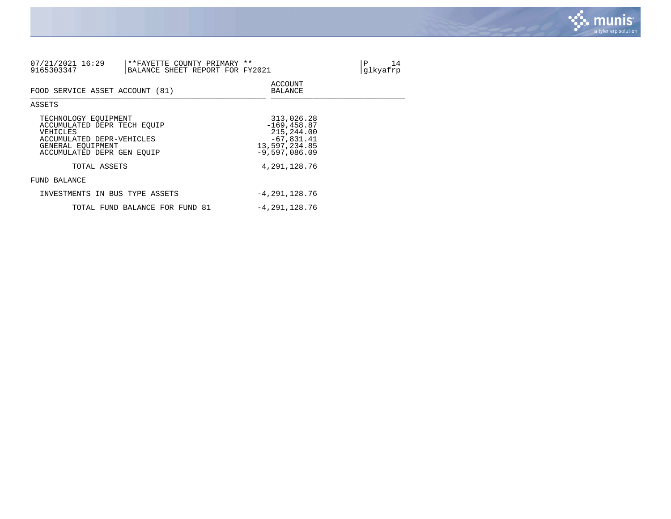

| 07/21/2021 16:29<br>9165303347                                                                                                                  | **FAYETTE COUNTY PRIMARY **<br>BALANCE SHEET REPORT FOR FY2021 |                                                                                                | 14<br>Ρ<br>glkyafrp |
|-------------------------------------------------------------------------------------------------------------------------------------------------|----------------------------------------------------------------|------------------------------------------------------------------------------------------------|---------------------|
| FOOD SERVICE ASSET ACCOUNT (81)                                                                                                                 |                                                                | ACCOUNT<br>BALANCE                                                                             |                     |
| ASSETS                                                                                                                                          |                                                                |                                                                                                |                     |
| TECHNOLOGY EOUIPMENT<br>ACCUMULATED DEPR TECH EOUIP<br>VEHICLES<br>ACCUMULATED DEPR-VEHICLES<br>GENERAL EOUIPMENT<br>ACCUMULATED DEPR GEN EOUIP |                                                                | 313,026.28<br>$-169, 458.87$<br>215,244.00<br>$-67,831.41$<br>13,597,234.85<br>$-9,597,086.09$ |                     |
| TOTAL ASSETS                                                                                                                                    |                                                                | 4,291,128.76                                                                                   |                     |
| FUND BALANCE                                                                                                                                    |                                                                |                                                                                                |                     |
| INVESTMENTS IN BUS TYPE ASSETS                                                                                                                  |                                                                | $-4,291,128.76$                                                                                |                     |
|                                                                                                                                                 | TOTAL FUND BALANCE FOR FUND 81                                 | $-4,291,128.76$                                                                                |                     |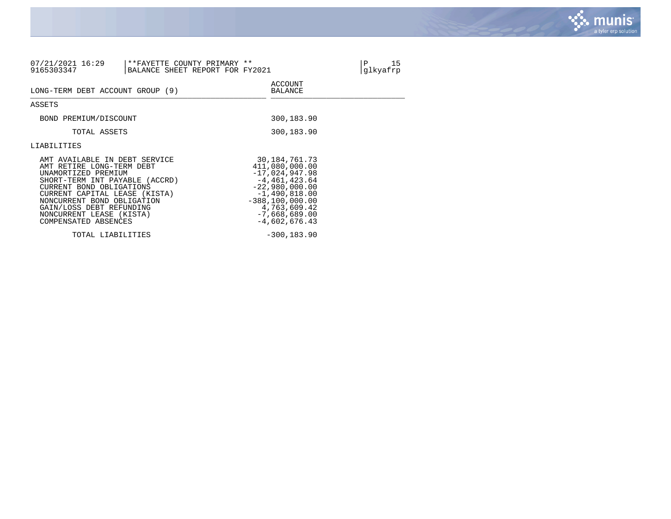

| 07/21/2021 16:29<br>9165303347                                                                                                                                                                                                                                                                 | **FAYETTE COUNTY PRIMARY **<br>BALANCE SHEET REPORT FOR FY2021 |                                                                                                                                                                                               |  |
|------------------------------------------------------------------------------------------------------------------------------------------------------------------------------------------------------------------------------------------------------------------------------------------------|----------------------------------------------------------------|-----------------------------------------------------------------------------------------------------------------------------------------------------------------------------------------------|--|
| LONG-TERM DEBT ACCOUNT GROUP (9)                                                                                                                                                                                                                                                               |                                                                | <b>ACCOUNT</b><br>BALANCE                                                                                                                                                                     |  |
| ASSETS                                                                                                                                                                                                                                                                                         |                                                                |                                                                                                                                                                                               |  |
| BOND PREMIUM/DISCOUNT                                                                                                                                                                                                                                                                          |                                                                | 300,183.90                                                                                                                                                                                    |  |
| TOTAL ASSETS                                                                                                                                                                                                                                                                                   |                                                                | 300,183.90                                                                                                                                                                                    |  |
| LIABILITIES                                                                                                                                                                                                                                                                                    |                                                                |                                                                                                                                                                                               |  |
| AMT AVAILABLE IN DEBT SERVICE<br>AMT RETIRE LONG-TERM DEBT<br>UNAMORTIZED PREMIUM<br>SHORT-TERM INT PAYABLE (ACCRD)<br>CURRENT BOND OBLIGATIONS<br>CURRENT CAPITAL LEASE (KISTA)<br>NONCURRENT BOND OBLIGATION<br>GAIN/LOSS DEBT REFUNDING<br>NONCURRENT LEASE (KISTA)<br>COMPENSATED ABSENCES |                                                                | 30, 184, 761. 73<br>411,080,000.00<br>$-17,024,947.98$<br>$-4,461,423.64$<br>$-22,980,000.00$<br>$-1,490,818.00$<br>$-388, 100, 000.00$<br>4,763,609.42<br>$-7,668,689.00$<br>$-4,602,676.43$ |  |
| TOTAL LIABILITIES                                                                                                                                                                                                                                                                              |                                                                | $-300, 183.90$                                                                                                                                                                                |  |